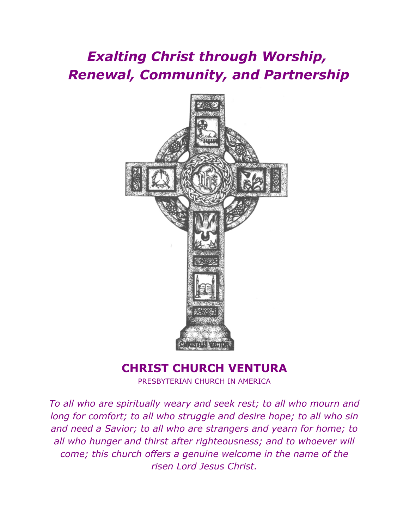# *Exalting Christ through Worship, Renewal, Community, and Partnership*



# **CHRIST CHURCH VENTURA**

PRESBYTERIAN CHURCH IN AMERICA

*To all who are spiritually weary and seek rest; to all who mourn and long for comfort; to all who struggle and desire hope; to all who sin and need a Savior; to all who are strangers and yearn for home; to all who hunger and thirst after righteousness; and to whoever will come; this church offers a genuine welcome in the name of the risen Lord Jesus Christ.*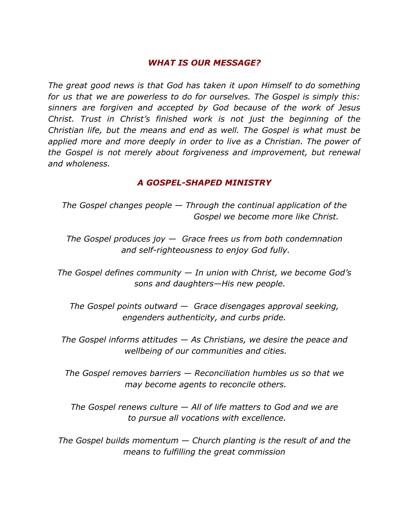# *WHAT IS OUR MESSAGE?*

*The great good news is that God has taken it upon Himself to do something for us that we are powerless to do for ourselves. The Gospel is simply this: sinners are forgiven and accepted by God because of the work of Jesus Christ. Trust in Christ's finished work is not just the beginning of the Christian life, but the means and end as well. The Gospel is what must be applied more and more deeply in order to live as a Christian. The power of the Gospel is not merely about forgiveness and improvement, but renewal and wholeness.*

# *A GOSPEL-SHAPED MINISTRY*

*The Gospel changes people — Through the continual application of the Gospel we become more like Christ.*

*The Gospel produces joy — Grace frees us from both condemnation and self-righteousness to enjoy God fully.*

*The Gospel defines community — In union with Christ, we become God's sons and daughters—His new people.*

*The Gospel points outward — Grace disengages approval seeking, engenders authenticity, and curbs pride.*

*The Gospel informs attitudes — As Christians, we desire the peace and wellbeing of our communities and cities.*

*The Gospel removes barriers — Reconciliation humbles us so that we may become agents to reconcile others.*

*The Gospel renews culture — All of life matters to God and we are to pursue all vocations with excellence.*

*The Gospel builds momentum — Church planting is the result of and the means to fulfilling the great commission*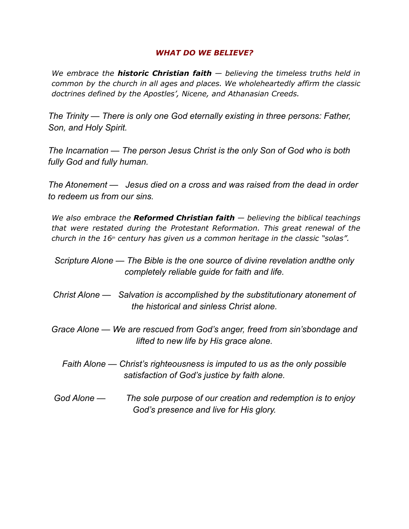#### *WHAT DO WE BELIEVE?*

*We embrace the historic Christian faith — believing the timeless truths held in common by the church in all ages and places. We wholeheartedly affirm the classic doctrines defined by the Apostles', Nicene, and Athanasian Creeds.*

*The Trinity — There is only one God eternally existing in three persons: Father, Son, and Holy Spirit.*

*The Incarnation — The person Jesus Christ is the only Son of God who is both fully God and fully human.*

*The Atonement — Jesus died on a cross and was raised from the dead in order to redeem us from our sins.*

*We also embrace the Reformed Christian faith — believing the biblical teachings that were restated during the Protestant Reformation. This great renewal of the church in the 16th century has given us a common heritage in the classic "solas".*

*Scripture Alone — The Bible is the one source of divine revelation andthe only completely reliable guide for faith and life.*

- *Christ Alone — Salvation is accomplished by the substitutionary atonement of the historical and sinless Christ alone.*
- *Grace Alone — We are rescued from God's anger, freed from sin'sbondage and lifted to new life by His grace alone.*
	- *Faith Alone — Christ's righteousness is imputed to us as the only possible satisfaction of God's justice by faith alone.*
- *God Alone — The sole purpose of our creation and redemption is to enjoy God's presence and live for His glory.*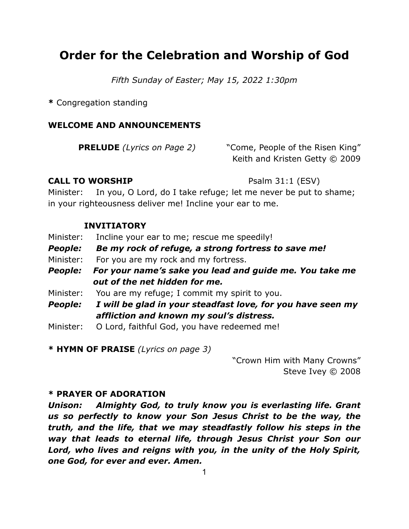# **Order for the Celebration and Worship of God**

*Fifth Sunday of Easter; May 15, 2022 1:30pm*

**\*** Congregation standing

# **WELCOME AND ANNOUNCEMENTS**

**PRELUDE** *(Lyrics on Page 2)* "Come, People of the Risen King" Keith and Kristen Getty © 2009

# **CALL TO WORSHIP** Psalm 31:1 (ESV)

Minister: In you, O Lord, do I take refuge; let me never be put to shame; in your righteousness deliver me! Incline your ear to me.

# **INVITIATORY**

Minister: Incline your ear to me; rescue me speedily!

- *People: Be my rock of refuge, a strong fortress to save me!*
- Minister: For you are my rock and my fortress.
- *People: For your name's sake you lead and guide me. You take me out of the net hidden for me.*

Minister: You are my refuge; I commit my spirit to you.

- *People: I will be glad in your steadfast love, for you have seen my affliction and known my soul's distress.*
- Minister: O Lord, faithful God, you have redeemed me!

**\* HYMN OF PRAISE** *(Lyrics on page 3)*

"Crown Him with Many Crowns" Steve Ivey © 2008

# **\* PRAYER OF ADORATION**

*Unison: Almighty God, to truly know you is everlasting life. Grant us so perfectly to know your Son Jesus Christ to be the way, the truth, and the life, that we may steadfastly follow his steps in the way that leads to eternal life, through Jesus Christ your Son our Lord, who lives and reigns with you, in the unity of the Holy Spirit, one God, for ever and ever. Amen.*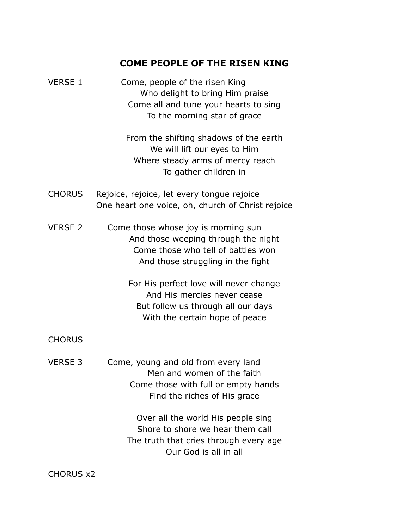# **COME PEOPLE OF THE RISEN KING**

| <b>VERSE 1</b> | Come, people of the risen King        |
|----------------|---------------------------------------|
|                | Who delight to bring Him praise       |
|                | Come all and tune your hearts to sing |
|                | To the morning star of grace          |

From the shifting shadows of the earth We will lift our eyes to Him Where steady arms of mercy reach To gather children in

- CHORUS Rejoice, rejoice, let every tongue rejoice One heart one voice, oh, church of Christ rejoice
- VERSE 2 Come those whose joy is morning sun And those weeping through the night Come those who tell of battles won And those struggling in the fight

For His perfect love will never change And His mercies never cease But follow us through all our days With the certain hope of peace

# CHORUS

VERSE 3 Come, young and old from every land Men and women of the faith Come those with full or empty hands Find the riches of His grace

> Over all the world His people sing Shore to shore we hear them call The truth that cries through every age Our God is all in all

CHORUS x2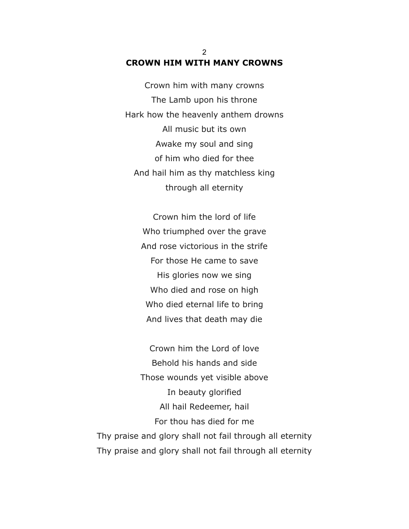# 2 **CROWN HIM WITH MANY CROWNS**

Crown him with many crowns The Lamb upon his throne Hark how the heavenly anthem drowns All music but its own Awake my soul and sing of him who died for thee And hail him as thy matchless king through all eternity

Crown him the lord of life Who triumphed over the grave And rose victorious in the strife For those He came to save His glories now we sing Who died and rose on high Who died eternal life to bring And lives that death may die

Crown him the Lord of love Behold his hands and side Those wounds yet visible above In beauty glorified All hail Redeemer, hail For thou has died for me Thy praise and glory shall not fail through all eternity Thy praise and glory shall not fail through all eternity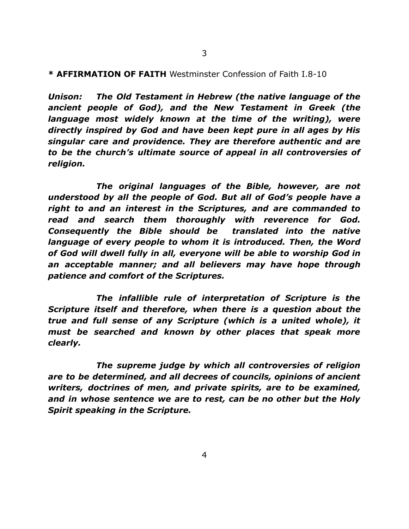#### **\* AFFIRMATION OF FAITH** Westminster Confession of Faith I.8-10

*Unison: The Old Testament in Hebrew (the native language of the ancient people of God), and the New Testament in Greek (the language most widely known at the time of the writing), were directly inspired by God and have been kept pure in all ages by His singular care and providence. They are therefore authentic and are to be the church's ultimate source of appeal in all controversies of religion.*

*The original languages of the Bible, however, are not understood by all the people of God. But all of God's people have a right to and an interest in the Scriptures, and are commanded to read and search them thoroughly with reverence for God. Consequently the Bible should be translated into the native language of every people to whom it is introduced. Then, the Word of God will dwell fully in all, everyone will be able to worship God in an acceptable manner; and all believers may have hope through patience and comfort of the Scriptures.*

*The infallible rule of interpretation of Scripture is the Scripture itself and therefore, when there is a question about the true and full sense of any Scripture (which is a united whole), it must be searched and known by other places that speak more clearly.*

*The supreme judge by which all controversies of religion are to be determined, and all decrees of councils, opinions of ancient writers, doctrines of men, and private spirits, are to be examined, and in whose sentence we are to rest, can be no other but the Holy Spirit speaking in the Scripture.*

4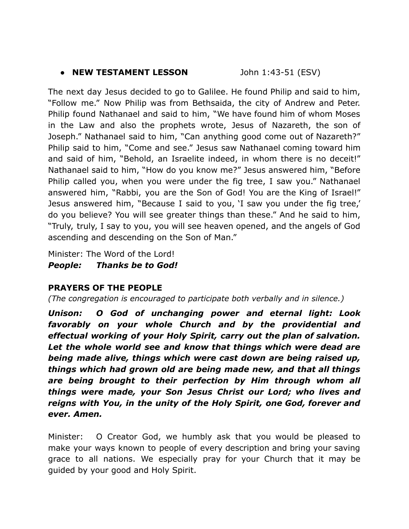# ● **NEW TESTAMENT LESSON** John 1:43-51 (ESV)

The next day Jesus decided to go to Galilee. He found Philip and said to him, "Follow me." Now Philip was from Bethsaida, the city of Andrew and Peter. Philip found Nathanael and said to him, "We have found him of whom Moses in the Law and also the prophets wrote, Jesus of Nazareth, the son of Joseph." Nathanael said to him, "Can anything good come out of Nazareth?" Philip said to him, "Come and see." Jesus saw Nathanael coming toward him and said of him, "Behold, an Israelite indeed, in whom there is no deceit!" Nathanael said to him, "How do you know me?" Jesus answered him, "Before Philip called you, when you were under the fig tree, I saw you." Nathanael answered him, "Rabbi, you are the Son of God! You are the King of Israel!" Jesus answered him, "Because I said to you, 'I saw you under the fig tree,' do you believe? You will see greater things than these." And he said to him, "Truly, truly, I say to you, you will see heaven opened, and the angels of God ascending and descending on the Son of Man."

Minister: The Word of the Lord! *People: Thanks be to God!*

# **PRAYERS OF THE PEOPLE**

*(The congregation is encouraged to participate both verbally and in silence.)*

*Unison: O God of unchanging power and eternal light: Look favorably on your whole Church and by the providential and effectual working of your Holy Spirit, carry out the plan of salvation. Let the whole world see and know that things which were dead are being made alive, things which were cast down are being raised up, things which had grown old are being made new, and that all things are being brought to their perfection by Him through whom all things were made, your Son Jesus Christ our Lord; who lives and reigns with You, in the unity of the Holy Spirit, one God, forever and ever. Amen.*

Minister: O Creator God, we humbly ask that you would be pleased to make your ways known to people of every description and bring your saving grace to all nations. We especially pray for your Church that it may be guided by your good and Holy Spirit.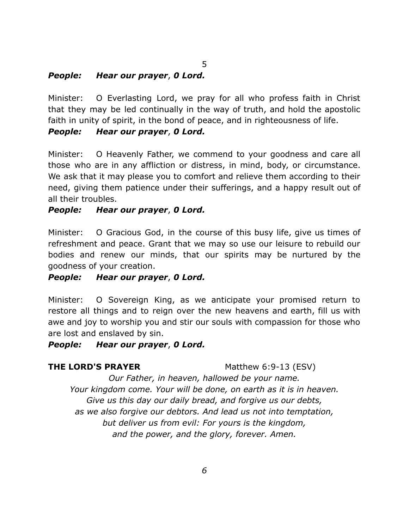# *People: Hear our prayer*, *0 Lord.*

Minister: O Everlasting Lord, we pray for all who profess faith in Christ that they may be led continually in the way of truth, and hold the apostolic faith in unity of spirit, in the bond of peace, and in righteousness of life.

5

# *People: Hear our prayer*, *0 Lord.*

Minister: O Heavenly Father, we commend to your goodness and care all those who are in any affliction or distress, in mind, body, or circumstance. We ask that it may please you to comfort and relieve them according to their need, giving them patience under their sufferings, and a happy result out of all their troubles.

# *People: Hear our prayer*, *0 Lord.*

Minister: O Gracious God, in the course of this busy life, give us times of refreshment and peace. Grant that we may so use our leisure to rebuild our bodies and renew our minds, that our spirits may be nurtured by the goodness of your creation.

# *People: Hear our prayer*, *0 Lord.*

Minister: O Sovereign King, as we anticipate your promised return to restore all things and to reign over the new heavens and earth, fill us with awe and joy to worship you and stir our souls with compassion for those who are lost and enslaved by sin.

# *People: Hear our prayer*, *0 Lord.*

# **THE LORD'S PRAYER** Matthew 6:9-13 (ESV)

*Our Father, in heaven, hallowed be your name. Your kingdom come. Your will be done, on earth as it is in heaven. Give us this day our daily bread, and forgive us our debts, as we also forgive our debtors. And lead us not into temptation, but deliver us from evil: For yours is the kingdom, and the power, and the glory, forever. Amen.*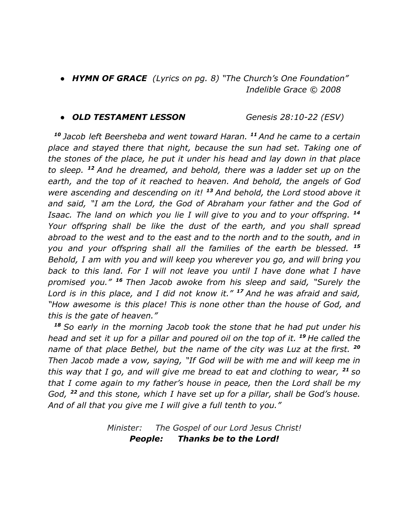*● HYMN OF GRACE (Lyrics on pg. 8) "The Church's One Foundation" Indelible Grace © 2008*

#### *● OLD TESTAMENT LESSON Genesis 28:10-22 (ESV)*

*<sup>10</sup> Jacob left Beersheba and went toward Haran. <sup>11</sup> And he came to a certain place and stayed there that night, because the sun had set. Taking one of the stones of the place, he put it under his head and lay down in that place to sleep. <sup>12</sup> And he dreamed, and behold, there was a ladder set up on the earth, and the top of it reached to heaven. And behold, the angels of God were ascending and descending on it! <sup>13</sup> And behold, the Lord stood above it and said, "I am the Lord, the God of Abraham your father and the God of Isaac. The land on which you lie I will give to you and to your offspring. <sup>14</sup> Your offspring shall be like the dust of the earth, and you shall spread abroad to the west and to the east and to the north and to the south, and in you and your offspring shall all the families of the earth be blessed. <sup>15</sup> Behold, I am with you and will keep you wherever you go, and will bring you back to this land. For I will not leave you until I have done what I have promised you." <sup>16</sup> Then Jacob awoke from his sleep and said, "Surely the Lord is in this place, and I did not know it." <sup>17</sup> And he was afraid and said, "How awesome is this place! This is none other than the house of God, and this is the gate of heaven."*

*<sup>18</sup> So early in the morning Jacob took the stone that he had put under his head and set it up for a pillar and poured oil on the top of it. <sup>19</sup> He called the name of that place Bethel, but the name of the city was Luz at the first. <sup>20</sup> Then Jacob made a vow, saying, "If God will be with me and will keep me in this way that I go, and will give me bread to eat and clothing to wear, <sup>21</sup> so that I come again to my father's house in peace, then the Lord shall be my God, <sup>22</sup> and this stone, which I have set up for a pillar, shall be God's house. And of all that you give me I will give a full tenth to you."*

> *Minister: The Gospel of our Lord Jesus Christ! People: Thanks be to the Lord!*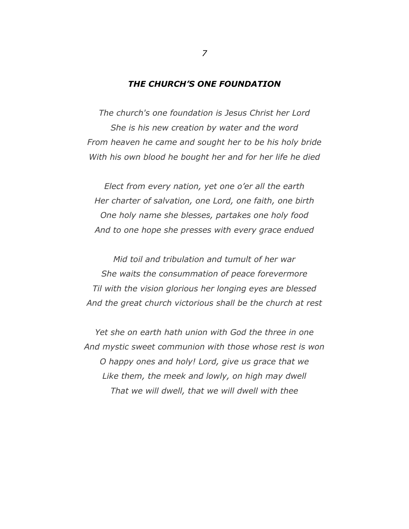#### *THE CHURCH'S ONE FOUNDATION*

*The church's one foundation is Jesus Christ her Lord She is his new creation by water and the word From heaven he came and sought her to be his holy bride With his own blood he bought her and for her life he died*

*Elect from every nation, yet one o'er all the earth Her charter of salvation, one Lord, one faith, one birth One holy name she blesses, partakes one holy food And to one hope she presses with every grace endued*

*Mid toil and tribulation and tumult of her war She waits the consummation of peace forevermore Til with the vision glorious her longing eyes are blessed And the great church victorious shall be the church at rest*

*Yet she on earth hath union with God the three in one And mystic sweet communion with those whose rest is won O happy ones and holy! Lord, give us grace that we Like them, the meek and lowly, on high may dwell That we will dwell, that we will dwell with thee*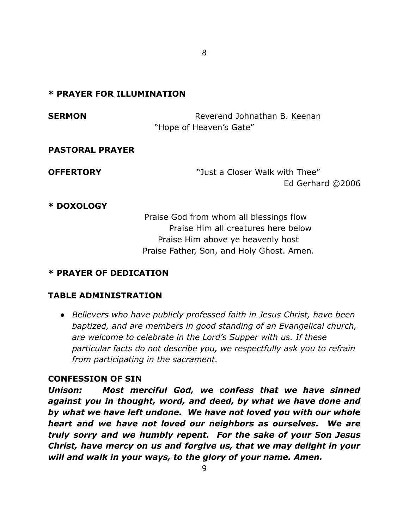# **\* PRAYER FOR ILLUMINATION**

**SERMON** Reverend Johnathan B. Keenan "Hope of Heaven's Gate" **PASTORAL PRAYER**

**OFFERTORY** The "Just a Closer Walk with Thee" Ed Gerhard ©2006

# **\* DOXOLOGY**

Praise God from whom all blessings flow Praise Him all creatures here below Praise Him above ye heavenly host Praise Father, Son, and Holy Ghost. Amen.

# **\* PRAYER OF DEDICATION**

# **TABLE ADMINISTRATION**

● *Believers who have publicly professed faith in Jesus Christ, have been baptized, and are members in good standing of an Evangelical church, are welcome to celebrate in the Lord's Supper with us. If these particular facts do not describe you, we respectfully ask you to refrain from participating in the sacrament.*

# **CONFESSION OF SIN**

*Unison: Most merciful God, we confess that we have sinned against you in thought, word, and deed, by what we have done and by what we have left undone. We have not loved you with our whole heart and we have not loved our neighbors as ourselves. We are truly sorry and we humbly repent. For the sake of your Son Jesus Christ, have mercy on us and forgive us, that we may delight in your will and walk in your ways, to the glory of your name. Amen.*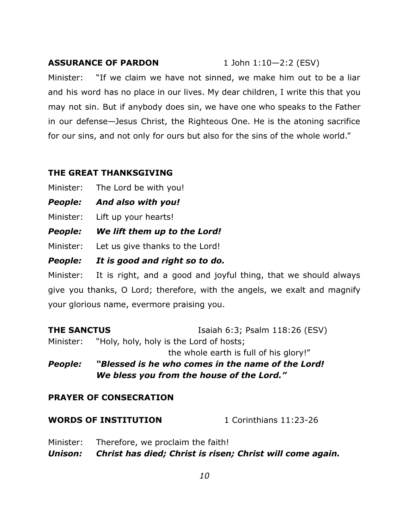# **ASSURANCE OF PARDON** 1 John 1:10-2:2 (ESV)

Minister: "If we claim we have not sinned, we make him out to be a liar and his word has no place in our lives. My dear children, I write this that you may not sin. But if anybody does sin, we have one who speaks to the Father in our defense—Jesus Christ, the Righteous One. He is the atoning sacrifice for our sins, and not only for ours but also for the sins of the whole world."

# **THE GREAT THANKSGIVING**

Minister: The Lord be with you!

- *People: And also with you!*
- Minister: Lift up your hearts!
- *People: We lift them up to the Lord!*

Minister: Let us give thanks to the Lord!

*People: It is good and right so to do.*

Minister: It is right, and a good and joyful thing, that we should always give you thanks, O Lord; therefore, with the angels, we exalt and magnify your glorious name, evermore praising you.

**THE SANCTUS** Isaiah 6:3; Psalm 118:26 (ESV) Minister: "Holy, holy, holy is the Lord of hosts; the whole earth is full of his glory!" *People: "Blessed is he who comes in the name of the Lord! We bless you from the house of the Lord."*

# **PRAYER OF CONSECRATION**

| <b>WORDS OF INSTITUTION</b><br>1 Corinthians 11:23-26 |  |
|-------------------------------------------------------|--|
|-------------------------------------------------------|--|

Minister: Therefore, we proclaim the faith! *Unison: Christ has died; Christ is risen; Christ will come again.*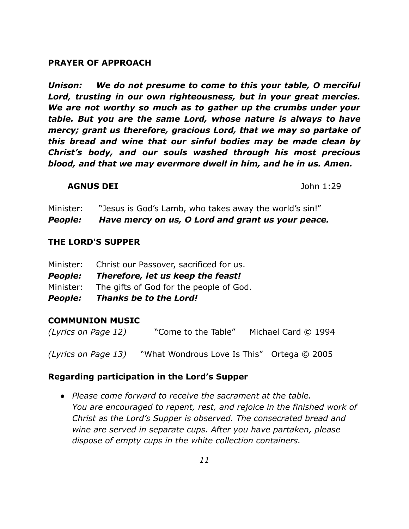#### **PRAYER OF APPROACH**

*Unison: We do not presume to come to this your table, O merciful Lord, trusting in our own righteousness, but in your great mercies. We are not worthy so much as to gather up the crumbs under your table. But you are the same Lord, whose nature is always to have mercy; grant us therefore, gracious Lord, that we may so partake of this bread and wine that our sinful bodies may be made clean by Christ's body, and our souls washed through his most precious blood, and that we may evermore dwell in him, and he in us. Amen.*

#### **AGNUS DEI** John 1:29

Minister: "Jesus is God's Lamb, who takes away the world's sin!"

*People: Have mercy on us, O Lord and grant us your peace.*

#### **THE LORD'S SUPPER**

| <b>People:</b> | <b>Thanks be to the Lord!</b>           |
|----------------|-----------------------------------------|
| Minister:      | The gifts of God for the people of God. |
| <b>People:</b> | Therefore, let us keep the feast!       |
| Minister:      | Christ our Passover, sacrificed for us. |

# **COMMUNION MUSIC**

*(Lyrics on Page 12)* "Come to the Table" Michael Card © 1994

*(Lyrics on Page 13)* "What Wondrous Love Is This" Ortega © 2005

# **Regarding participation in the Lord's Supper**

● *Please come forward to receive the sacrament at the table. You are encouraged to repent, rest, and rejoice in the finished work of Christ as the Lord's Supper is observed. The consecrated bread and wine are served in separate cups. After you have partaken, please dispose of empty cups in the white collection containers.*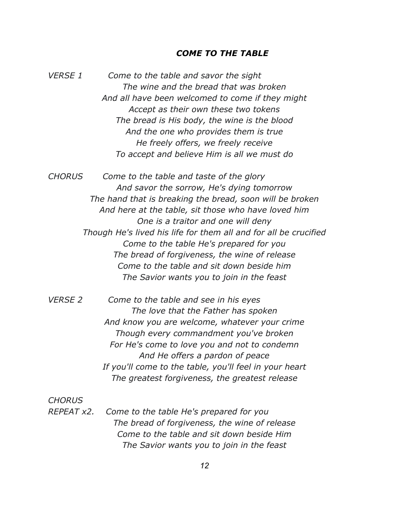#### *COME TO THE TABLE*

*VERSE 1 Come to the table and savor the sight The wine and the bread that was broken And all have been welcomed to come if they might Accept as their own these two tokens The bread is His body, the wine is the blood And the one who provides them is true He freely offers, we freely receive To accept and believe Him is all we must do*

*CHORUS Come to the table and taste of the glory And savor the sorrow, He's dying tomorrow The hand that is breaking the bread, soon will be broken And here at the table, sit those who have loved him One is a traitor and one will deny Though He's lived his life for them all and for all be crucified Come to the table He's prepared for you The bread of forgiveness, the wine of release Come to the table and sit down beside him The Savior wants you to join in the feast*

*VERSE 2 Come to the table and see in his eyes The love that the Father has spoken And know you are welcome, whatever your crime Though every commandment you've broken For He's come to love you and not to condemn And He offers a pardon of peace If you'll come to the table, you'll feel in your heart The greatest forgiveness, the greatest release*

*CHORUS*

*REPEAT x2. Come to the table He's prepared for you The bread of forgiveness, the wine of release Come to the table and sit down beside Him The Savior wants you to join in the feast*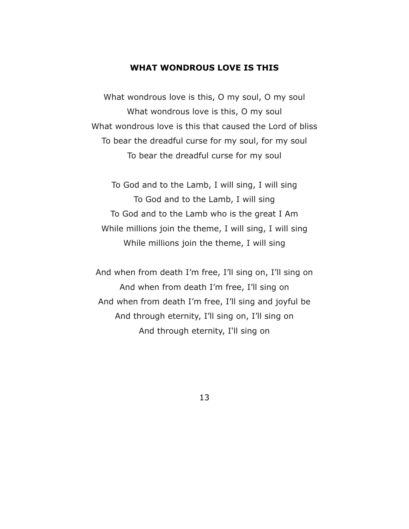#### **WHAT WONDROUS LOVE IS THIS**

What wondrous love is this, O my soul, O my soul What wondrous love is this, O my soul What wondrous love is this that caused the Lord of bliss To bear the dreadful curse for my soul, for my soul To bear the dreadful curse for my soul

To God and to the Lamb, I will sing, I will sing To God and to the Lamb, I will sing To God and to the Lamb who is the great I Am While millions join the theme, I will sing, I will sing While millions join the theme, I will sing

And when from death I'm free, I'll sing on, I'll sing on And when from death I'm free, I'll sing on And when from death I'm free, I'll sing and joyful be And through eternity, I'll sing on, I'll sing on And through eternity, I'll sing on

13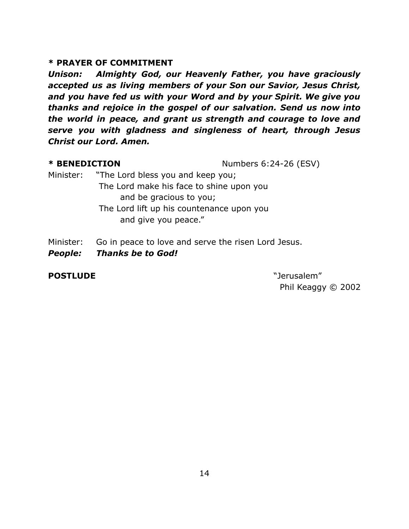# **\* PRAYER OF COMMITMENT**

*Unison: Almighty God, our Heavenly Father, you have graciously accepted us as living members of your Son our Savior, Jesus Christ, and you have fed us with your Word and by your Spirit. We give you thanks and rejoice in the gospel of our salvation. Send us now into the world in peace, and grant us strength and courage to love and serve you with gladness and singleness of heart, through Jesus Christ our Lord. Amen.*

**\* BENEDICTION** Numbers 6:24-26 (ESV)

- Minister: "The Lord bless you and keep you; The Lord make his face to shine upon you and be gracious to you; The Lord lift up his countenance upon you and give you peace."
- Minister: Go in peace to love and serve the risen Lord Jesus.
- *People: Thanks be to God!*

# **POSTLUDE** "Jerusalem"

Phil Keaggy © 2002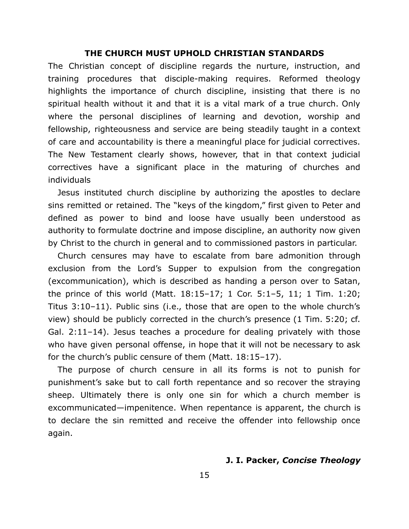#### **THE CHURCH MUST UPHOLD CHRISTIAN STANDARDS**

The Christian concept of discipline regards the nurture, instruction, and training procedures that disciple-making requires. Reformed theology highlights the importance of church discipline, insisting that there is no spiritual health without it and that it is a vital mark of a true church. Only where the personal disciplines of learning and devotion, worship and fellowship, righteousness and service are being steadily taught in a context of care and accountability is there a meaningful place for judicial correctives. The New Testament clearly shows, however, that in that context judicial correctives have a significant place in the maturing of churches and individuals

Jesus instituted church discipline by authorizing the apostles to declare sins remitted or retained. The "keys of the kingdom," first given to Peter and defined as power to bind and loose have usually been understood as authority to formulate doctrine and impose discipline, an authority now given by Christ to the church in general and to commissioned pastors in particular.

Church censures may have to escalate from bare admonition through exclusion from the Lord's Supper to expulsion from the congregation (excommunication), which is described as handing a person over to Satan, the prince of this world (Matt. 18:15–17; 1 Cor. 5:1–5, 11; 1 Tim. 1:20; Titus 3:10–11). Public sins (i.e., those that are open to the whole church's view) should be publicly corrected in the church's presence (1 Tim. 5:20; cf. Gal. 2:11–14). Jesus teaches a procedure for dealing privately with those who have given personal offense, in hope that it will not be necessary to ask for the church's public censure of them (Matt. 18:15–17).

The purpose of church censure in all its forms is not to punish for punishment's sake but to call forth repentance and so recover the straying sheep. Ultimately there is only one sin for which a church member is excommunicated—impenitence. When repentance is apparent, the church is to declare the sin remitted and receive the offender into fellowship once again.

#### **J. I. Packer,** *Concise Theology*